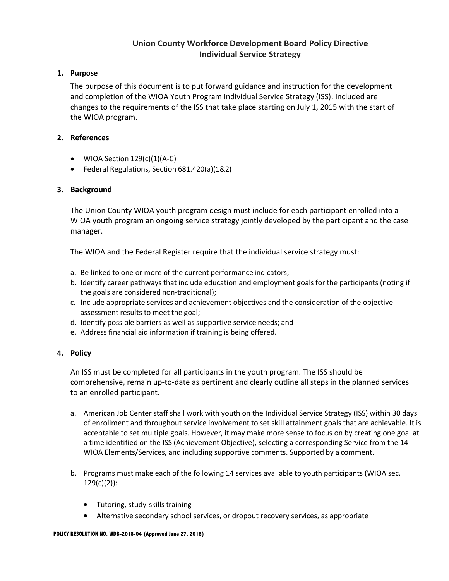### **1. Purpose**

The purpose of this document is to put forward guidance and instruction for the development and completion of the WIOA Youth Program Individual Service Strategy (ISS). Included are changes to the requirements of the ISS that take place starting on July 1, 2015 with the start of the WIOA program.

### **2. References**

- WIOA Section  $129(c)(1)(A-C)$
- Federal Regulations, Section 681.420(a)(1&2)

### **3. Background**

The Union County WIOA youth program design must include for each participant enrolled into a WIOA youth program an ongoing service strategy jointly developed by the participant and the case manager.

The WIOA and the Federal Register require that the individual service strategy must:

- a. Be linked to one or more of the current performance indicators;
- b. Identify career pathways that include education and employment goals for the participants (noting if the goals are considered non-traditional);
- c. Include appropriate services and achievement objectives and the consideration of the objective assessment results to meet the goal;
- d. Identify possible barriers as well as supportive service needs; and
- e. Address financial aid information if training is being offered.

### **4. Policy**

An ISS must be completed for all participants in the youth program. The ISS should be comprehensive, remain up-to-date as pertinent and clearly outline all steps in the planned services to an enrolled participant.

- a. American Job Center staff shall work with youth on the Individual Service Strategy (ISS) within 30 days of enrollment and throughout service involvement to set skill attainment goals that are achievable. It is acceptable to set multiple goals. However, it may make more sense to focus on by creating one goal at a time identified on the ISS (Achievement Objective), selecting a corresponding Service from the 14 WIOA Elements/Services, and including supportive comments. Supported by a comment.
- b. Programs must make each of the following 14 services available to youth participants (WIOA sec. 129(c)(2)):
	- Tutoring, study-skills training
	- Alternative secondary school services, or dropout recovery services, as appropriate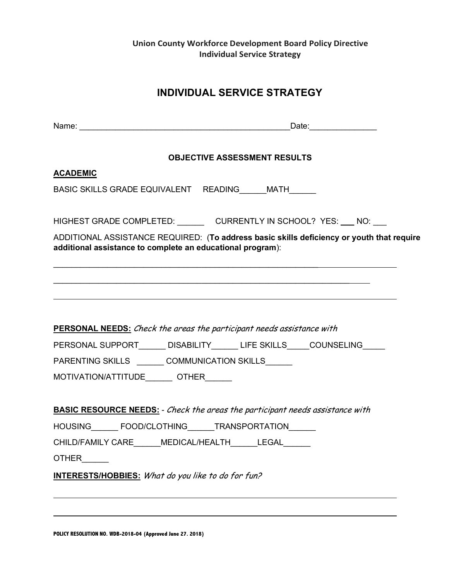# **INDIVIDUAL SERVICE STRATEGY**

| <b>OBJECTIVE ASSESSMENT RESULTS</b>                                                                                                                     |  |
|---------------------------------------------------------------------------------------------------------------------------------------------------------|--|
| <b>ACADEMIC</b>                                                                                                                                         |  |
| BASIC SKILLS GRADE EQUIVALENT READING_____MATH_____                                                                                                     |  |
| HIGHEST GRADE COMPLETED: CURRENTLY IN SCHOOL? YES: NO: WE                                                                                               |  |
| ADDITIONAL ASSISTANCE REQUIRED: (To address basic skills deficiency or youth that require<br>additional assistance to complete an educational program): |  |
| <u> 1989 - Jan Salaman Salaman (j. 1989)</u>                                                                                                            |  |
|                                                                                                                                                         |  |
|                                                                                                                                                         |  |
| PERSONAL NEEDS: Check the areas the participant needs assistance with                                                                                   |  |
| PERSONAL SUPPORT______ DISABILITY______ LIFE SKILLS_____COUNSELING_____                                                                                 |  |
| PARENTING SKILLS _______ COMMUNICATION SKILLS______                                                                                                     |  |
| MOTIVATION/ATTITUDE________ OTHER_______                                                                                                                |  |
| <b>BASIC RESOURCE NEEDS:</b> - Check the areas the participant needs assistance with                                                                    |  |
| HOUSING_______FOOD/CLOTHING______TRANSPORTATION______                                                                                                   |  |
| CHILD/FAMILY CARE_____MEDICAL/HEALTH______LEGAL                                                                                                         |  |
| <b>OTHER</b>                                                                                                                                            |  |
| <b>INTERESTS/HOBBIES:</b> What do you like to do for fun?                                                                                               |  |
|                                                                                                                                                         |  |

**POLICY RESOLUTION NO. WDB-2018-04 (Approved June 27. 2018)**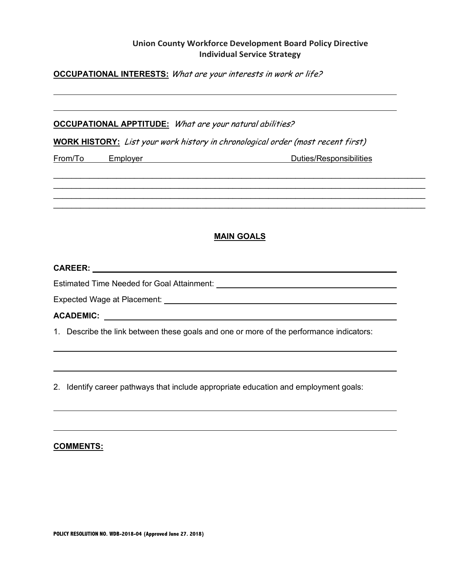### **OCCUPATIONAL INTERESTS:** What are your interests in work or life?

### **OCCUPATIONAL APPTITUDE:** What are your natural abilities?

**WORK HISTORY:** List your work history in chronological order (most recent first)

| From/To | Employer | Duties/Responsibilities |
|---------|----------|-------------------------|
|         |          |                         |

### **MAIN GOALS**

#### **CAREER:**

Estimated Time Needed for Goal Attainment:

Expected Wage at Placement:

**ACADEMIC:** 

1. Describe the link between these goals and one or more of the performance indicators:

2. Identify career pathways that include appropriate education and employment goals:

### **COMMENTS:**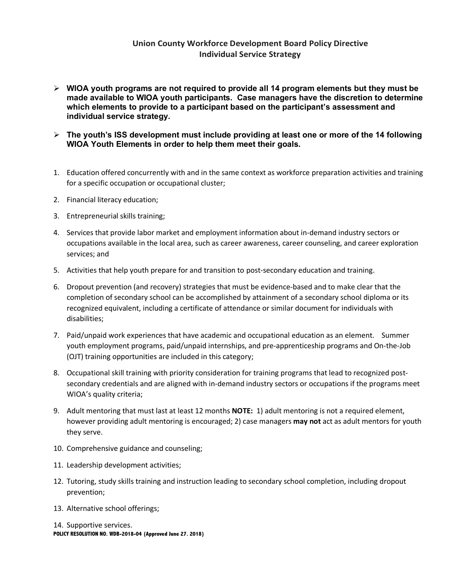- Ø **WIOA youth programs are not required to provide all 14 program elements but they must be made available to WIOA youth participants. Case managers have the discretion to determine which elements to provide to a participant based on the participant's assessment and individual service strategy.**
- Ø **The youth's ISS development must include providing at least one or more of the 14 following WIOA Youth Elements in order to help them meet their goals.**
- 1. Education offered concurrently with and in the same context as workforce preparation activities and training for a specific occupation or occupational cluster;
- 2. Financial literacy education;
- 3. Entrepreneurial skills training;
- 4. Services that provide labor market and employment information about in-demand industry sectors or occupations available in the local area, such as career awareness, career counseling, and career exploration services; and
- 5. Activities that help youth prepare for and transition to post-secondary education and training.
- 6. Dropout prevention (and recovery) strategies that must be evidence-based and to make clear that the completion of secondary school can be accomplished by attainment of a secondary school diploma or its recognized equivalent, including a certificate of attendance or similar document for individuals with disabilities;
- 7. Paid/unpaid work experiences that have academic and occupational education as an element. Summer youth employment programs, paid/unpaid internships, and pre-apprenticeship programs and On-the-Job (OJT) training opportunities are included in this category;
- 8. Occupational skill training with priority consideration for training programs that lead to recognized postsecondary credentials and are aligned with in-demand industry sectors or occupations if the programs meet WIOA's quality criteria;
- 9. Adult mentoring that must last at least 12 months **NOTE:** 1) adult mentoring is not a required element, however providing adult mentoring is encouraged; 2) case managers **may not** act as adult mentors for youth they serve.
- 10. Comprehensive guidance and counseling;
- 11. Leadership development activities;
- 12. Tutoring, study skills training and instruction leading to secondary school completion, including dropout prevention;
- 13. Alternative school offerings;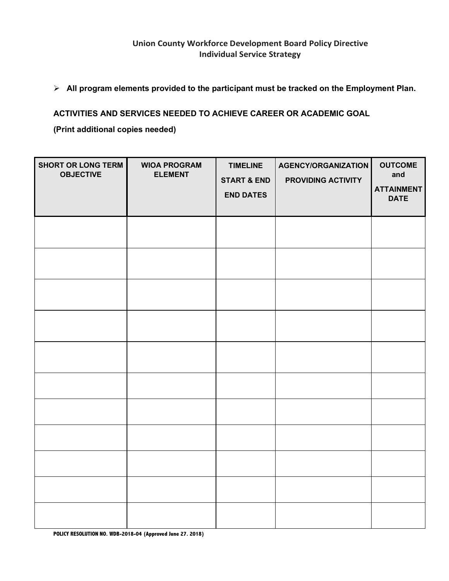Ø **All program elements provided to the participant must be tracked on the Employment Plan.**

**ACTIVITIES AND SERVICES NEEDED TO ACHIEVE CAREER OR ACADEMIC GOAL**

**(Print additional copies needed)**

| <b>SHORT OR LONG TERM</b><br><b>OBJECTIVE</b> | <b>WIOA PROGRAM</b><br><b>ELEMENT</b> | <b>TIMELINE</b><br><b>START &amp; END</b><br><b>END DATES</b> | <b>AGENCY/ORGANIZATION</b><br><b>PROVIDING ACTIVITY</b> | <b>OUTCOME</b><br>and<br><b>ATTAINMENT</b><br><b>DATE</b> |
|-----------------------------------------------|---------------------------------------|---------------------------------------------------------------|---------------------------------------------------------|-----------------------------------------------------------|
|                                               |                                       |                                                               |                                                         |                                                           |
|                                               |                                       |                                                               |                                                         |                                                           |
|                                               |                                       |                                                               |                                                         |                                                           |
|                                               |                                       |                                                               |                                                         |                                                           |
|                                               |                                       |                                                               |                                                         |                                                           |
|                                               |                                       |                                                               |                                                         |                                                           |
|                                               |                                       |                                                               |                                                         |                                                           |
|                                               |                                       |                                                               |                                                         |                                                           |
|                                               |                                       |                                                               |                                                         |                                                           |
|                                               |                                       |                                                               |                                                         |                                                           |
|                                               |                                       |                                                               |                                                         |                                                           |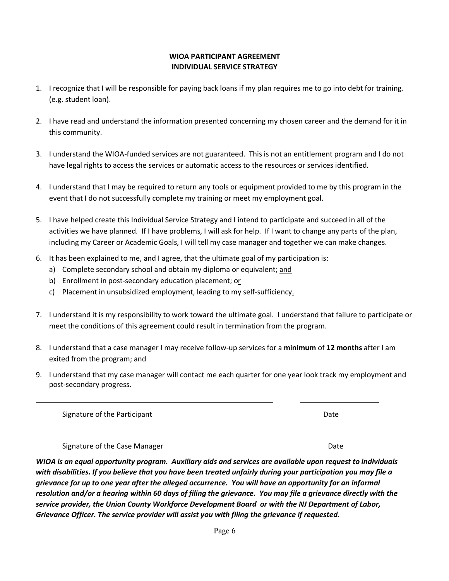### **WIOA PARTICIPANT AGREEMENT INDIVIDUAL SERVICE STRATEGY**

- 1. I recognize that I will be responsible for paying back loans if my plan requires me to go into debt for training. (e.g. student loan).
- 2. I have read and understand the information presented concerning my chosen career and the demand for it in this community.
- 3. I understand the WIOA-funded services are not guaranteed. This is not an entitlement program and I do not have legal rights to access the services or automatic access to the resources or services identified.
- 4. I understand that I may be required to return any tools or equipment provided to me by this program in the event that I do not successfully complete my training or meet my employment goal.
- 5. I have helped create this Individual Service Strategy and I intend to participate and succeed in all of the activities we have planned. If I have problems, I will ask for help. If I want to change any parts of the plan, including my Career or Academic Goals, I will tell my case manager and together we can make changes.
- 6. It has been explained to me, and I agree, that the ultimate goal of my participation is:
	- a) Complete secondary school and obtain my diploma or equivalent; and
	- b) Enrollment in post-secondary education placement; or
	- c) Placement in unsubsidized employment, leading to my self-sufficiency.
- 7. I understand it is my responsibility to work toward the ultimate goal. I understand that failure to participate or meet the conditions of this agreement could result in termination from the program.
- 8. I understand that a case manager I may receive follow-up services for a **minimum** of **12 months** after I am exited from the program; and
- 9. I understand that my case manager will contact me each quarter for one year look track my employment and post-secondary progress.

Signature of the Participant **Date** Date of the Participant Date Date of the Participant Date of the Date of the Date of the Date of the Date of the Date of the Date of the Date of the Date of the Date of the Date of the D

Signature of the Case Manager **Date of the Case Manager** Date of the Case Manager **Date** 

*WIOA is an equal opportunity program. Auxiliary aids and services are available upon request to individuals with disabilities. If you believe that you have been treated unfairly during your participation you may file a grievance for up to one year after the alleged occurrence. You will have an opportunity for an informal resolution and/or a hearing within 60 days of filing the grievance. You may file a grievance directly with the service provider, the Union County Workforce Development Board or with the NJ Department of Labor, Grievance Officer. The service provider will assist you with filing the grievance if requested.*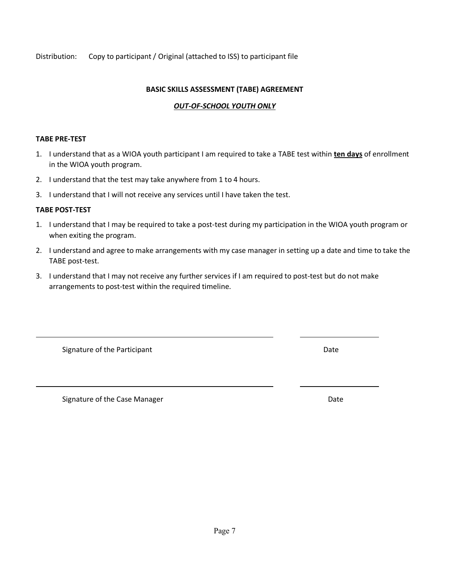Distribution: Copy to participant / Original (attached to ISS) to participant file

#### **BASIC SKILLS ASSESSMENT (TABE) AGREEMENT**

### *OUT-OF-SCHOOL YOUTH ONLY*

#### **TABE PRE-TEST**

- 1. I understand that as a WIOA youth participant I am required to take a TABE test within **ten days** of enrollment in the WIOA youth program.
- 2. I understand that the test may take anywhere from 1 to 4 hours.
- 3. I understand that I will not receive any services until I have taken the test.

### **TABE POST-TEST**

- 1. I understand that I may be required to take a post-test during my participation in the WIOA youth program or when exiting the program.
- 2. I understand and agree to make arrangements with my case manager in setting up a date and time to take the TABE post-test.
- 3. I understand that I may not receive any further services if I am required to post-test but do not make arrangements to post-test within the required timeline.

Signature of the Participant Date of the Participant Date of the Participant Date of the Participant Date of the Date of the Date of the Date of the Date of the Date of the Date of the Date of the Date of the Date of the D

Signature of the Case Manager **Date** Date **Date**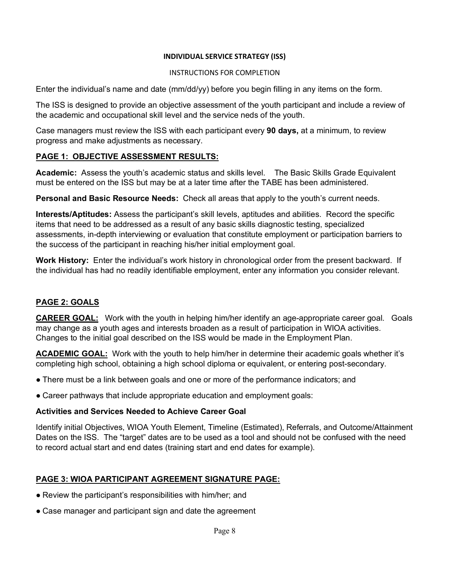### **INDIVIDUAL SERVICE STRATEGY (ISS)**

### INSTRUCTIONS FOR COMPLETION

Enter the individual's name and date (mm/dd/yy) before you begin filling in any items on the form.

The ISS is designed to provide an objective assessment of the youth participant and include a review of the academic and occupational skill level and the service neds of the youth.

Case managers must review the ISS with each participant every **90 days,** at a minimum, to review progress and make adjustments as necessary.

### **PAGE 1: OBJECTIVE ASSESSMENT RESULTS:**

**Academic:** Assess the youth's academic status and skills level. The Basic Skills Grade Equivalent must be entered on the ISS but may be at a later time after the TABE has been administered.

**Personal and Basic Resource Needs:** Check all areas that apply to the youth's current needs.

**Interests/Aptitudes:** Assess the participant's skill levels, aptitudes and abilities. Record the specific items that need to be addressed as a result of any basic skills diagnostic testing, specialized assessments, in-depth interviewing or evaluation that constitute employment or participation barriers to the success of the participant in reaching his/her initial employment goal.

**Work History:** Enter the individual's work history in chronological order from the present backward. If the individual has had no readily identifiable employment, enter any information you consider relevant.

# **PAGE 2: GOALS**

**CAREER GOAL:** Work with the youth in helping him/her identify an age-appropriate career goal. Goals may change as a youth ages and interests broaden as a result of participation in WIOA activities. Changes to the initial goal described on the ISS would be made in the Employment Plan.

**ACADEMIC GOAL:** Work with the youth to help him/her in determine their academic goals whether it's completing high school, obtaining a high school diploma or equivalent, or entering post-secondary.

- There must be a link between goals and one or more of the performance indicators; and
- Career pathways that include appropriate education and employment goals:

# **Activities and Services Needed to Achieve Career Goal**

Identify initial Objectives, WIOA Youth Element, Timeline (Estimated), Referrals, and Outcome/Attainment Dates on the ISS. The "target" dates are to be used as a tool and should not be confused with the need to record actual start and end dates (training start and end dates for example).

# **PAGE 3: WIOA PARTICIPANT AGREEMENT SIGNATURE PAGE:**

- Review the participant's responsibilities with him/her; and
- Case manager and participant sign and date the agreement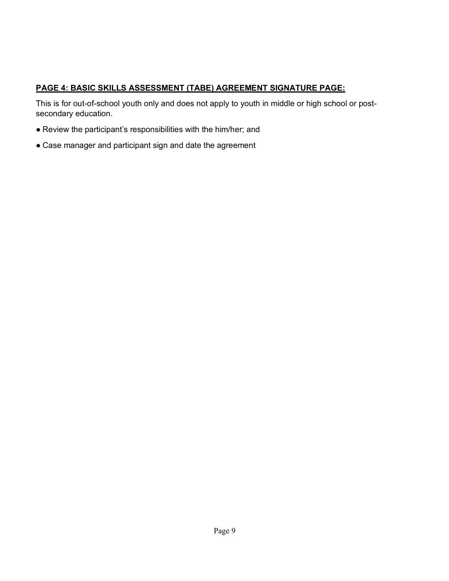# **PAGE 4: BASIC SKILLS ASSESSMENT (TABE) AGREEMENT SIGNATURE PAGE:**

This is for out-of-school youth only and does not apply to youth in middle or high school or postsecondary education.

- Review the participant's responsibilities with the him/her; and
- Case manager and participant sign and date the agreement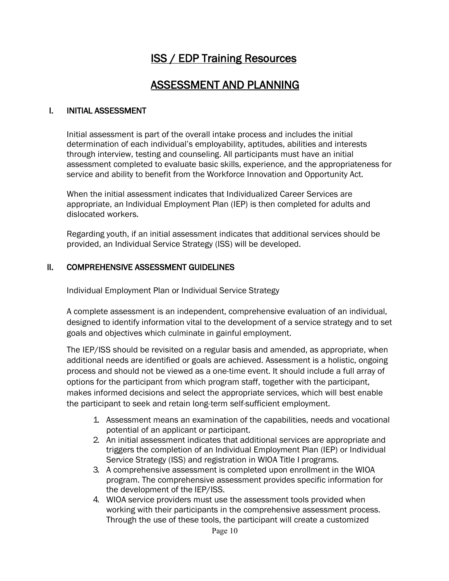# ISS / EDP Training Resources

# ASSESSMENT AND PLANNING

# I. INITIAL ASSESSMENT

Initial assessment is part of the overall intake process and includes the initial determination of each individual's employability, aptitudes, abilities and interests through interview, testing and counseling. All participants must have an initial assessment completed to evaluate basic skills, experience, and the appropriateness for service and ability to benefit from the Workforce Innovation and Opportunity Act.

When the initial assessment indicates that Individualized Career Services are appropriate, an Individual Employment Plan (IEP) is then completed for adults and dislocated workers.

Regarding youth, if an initial assessment indicates that additional services should be provided, an Individual Service Strategy (ISS) will be developed.

# II. COMPREHENSIVE ASSESSMENT GUIDELINES

Individual Employment Plan or Individual Service Strategy

A complete assessment is an independent, comprehensive evaluation of an individual, designed to identify information vital to the development of a service strategy and to set goals and objectives which culminate in gainful employment.

The IEP/ISS should be revisited on a regular basis and amended, as appropriate, when additional needs are identified or goals are achieved. Assessment is a holistic, ongoing process and should not be viewed as a one-time event. It should include a full array of options for the participant from which program staff, together with the participant, makes informed decisions and select the appropriate services, which will best enable the participant to seek and retain long-term self-sufficient employment.

- 1. Assessment means an examination of the capabilities, needs and vocational potential of an applicant or participant.
- 2. An initial assessment indicates that additional services are appropriate and triggers the completion of an Individual Employment Plan (IEP) or Individual Service Strategy (ISS) and registration in WIOA Title I programs.
- 3. A comprehensive assessment is completed upon enrollment in the WIOA program. The comprehensive assessment provides specific information for the development of the IEP/ISS.
- 4. WIOA service providers must use the assessment tools provided when working with their participants in the comprehensive assessment process. Through the use of these tools, the participant will create a customized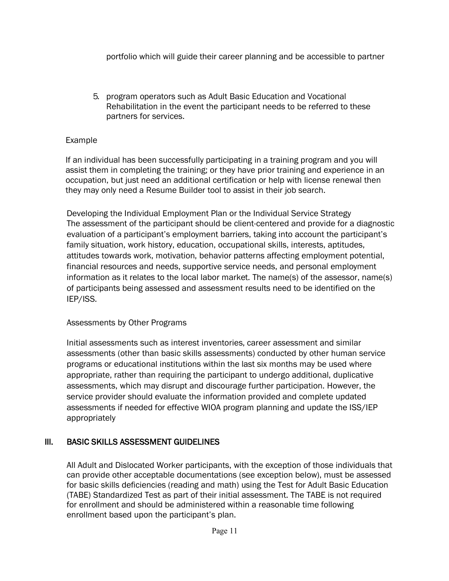portfolio which will guide their career planning and be accessible to partner

5. program operators such as Adult Basic Education and Vocational Rehabilitation in the event the participant needs to be referred to these partners for services.

# Example

If an individual has been successfully participating in a training program and you will assist them in completing the training; or they have prior training and experience in an occupation, but just need an additional certification or help with license renewal then they may only need a Resume Builder tool to assist in their job search.

Developing the Individual Employment Plan or the Individual Service Strategy The assessment of the participant should be client-centered and provide for a diagnostic evaluation of a participant's employment barriers, taking into account the participant's family situation, work history, education, occupational skills, interests, aptitudes, attitudes towards work, motivation, behavior patterns affecting employment potential, financial resources and needs, supportive service needs, and personal employment information as it relates to the local labor market. The name(s) of the assessor, name(s) of participants being assessed and assessment results need to be identified on the IEP/ISS.

# Assessments by Other Programs

Initial assessments such as interest inventories, career assessment and similar assessments (other than basic skills assessments) conducted by other human service programs or educational institutions within the last six months may be used where appropriate, rather than requiring the participant to undergo additional, duplicative assessments, which may disrupt and discourage further participation. However, the service provider should evaluate the information provided and complete updated assessments if needed for effective WIOA program planning and update the ISS/IEP appropriately

# III. BASIC SKILLS ASSESSMENT GUIDELINES

All Adult and Dislocated Worker participants, with the exception of those individuals that can provide other acceptable documentations (see exception below), must be assessed for basic skills deficiencies (reading and math) using the Test for Adult Basic Education (TABE) Standardized Test as part of their initial assessment. The TABE is not required for enrollment and should be administered within a reasonable time following enrollment based upon the participant's plan.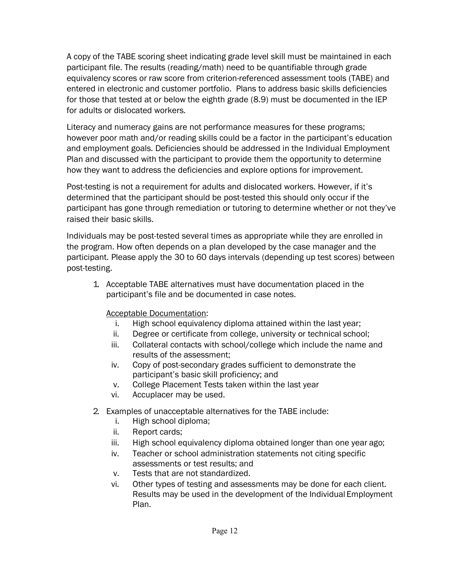A copy of the TABE scoring sheet indicating grade level skill must be maintained in each participant file. The results (reading/math) need to be quantifiable through grade equivalency scores or raw score from criterion-referenced assessment tools (TABE) and entered in electronic and customer portfolio. Plans to address basic skills deficiencies for those that tested at or below the eighth grade (8.9) must be documented in the IEP for adults or dislocated workers.

Literacy and numeracy gains are not performance measures for these programs; however poor math and/or reading skills could be a factor in the participant's education and employment goals. Deficiencies should be addressed in the Individual Employment Plan and discussed with the participant to provide them the opportunity to determine how they want to address the deficiencies and explore options for improvement.

Post-testing is not a requirement for adults and dislocated workers. However, if it's determined that the participant should be post-tested this should only occur if the participant has gone through remediation or tutoring to determine whether or not they've raised their basic skills.

Individuals may be post-tested several times as appropriate while they are enrolled in the program. How often depends on a plan developed by the case manager and the participant. Please apply the 30 to 60 days intervals (depending up test scores) between post-testing.

1. Acceptable TABE alternatives must have documentation placed in the participant's file and be documented in case notes.

# Acceptable Documentation:

- i. High school equivalency diploma attained within the last year;
- ii. Degree or certificate from college, university or technical school;
- iii. Collateral contacts with school/college which include the name and results of the assessment;
- iv. Copy of post-secondary grades sufficient to demonstrate the participant's basic skill proficiency; and
- v. College Placement Tests taken within the last year
- vi. Accuplacer may be used.
- 2. Examples of unacceptable alternatives for the TABE include:
	- i. High school diploma;
	- ii. Report cards;
	- iii. High school equivalency diploma obtained longer than one year ago;
	- iv. Teacher or school administration statements not citing specific assessments or test results; and
	- v. Tests that are not standardized.
	- vi. Other types of testing and assessments may be done for each client. Results may be used in the development of the Individual Employment Plan.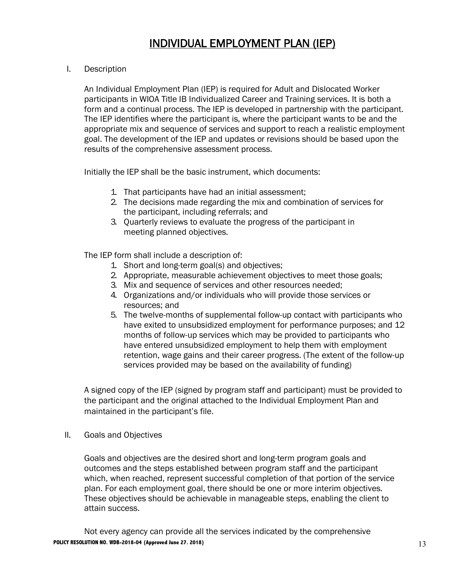# INDIVIDUAL EMPLOYMENT PLAN (IEP)

### I. Description

An Individual Employment Plan (IEP) is required for Adult and Dislocated Worker participants in WIOA Title IB Individualized Career and Training services. It is both a form and a continual process. The IEP is developed in partnership with the participant. The IEP identifies where the participant is, where the participant wants to be and the appropriate mix and sequence of services and support to reach a realistic employment goal. The development of the IEP and updates or revisions should be based upon the results of the comprehensive assessment process.

Initially the IEP shall be the basic instrument, which documents:

- 1. That participants have had an initial assessment;
- 2. The decisions made regarding the mix and combination of services for the participant, including referrals; and
- 3. Quarterly reviews to evaluate the progress of the participant in meeting planned objectives.

The IEP form shall include a description of:

- 1. Short and long-term goal(s) and objectives;
- 2. Appropriate, measurable achievement objectives to meet those goals;
- 3. Mix and sequence of services and other resources needed;
- 4. Organizations and/or individuals who will provide those services or resources; and
- 5. The twelve-months of supplemental follow-up contact with participants who have exited to unsubsidized employment for performance purposes; and 12 months of follow-up services which may be provided to participants who have entered unsubsidized employment to help them with employment retention, wage gains and their career progress. (The extent of the follow-up services provided may be based on the availability of funding)

A signed copy of the IEP (signed by program staff and participant) must be provided to the participant and the original attached to the Individual Employment Plan and maintained in the participant's file.

II. Goals and Objectives

Goals and objectives are the desired short and long-term program goals and outcomes and the steps established between program staff and the participant which, when reached, represent successful completion of that portion of the service plan. For each employment goal, there should be one or more interim objectives. These objectives should be achievable in manageable steps, enabling the client to attain success.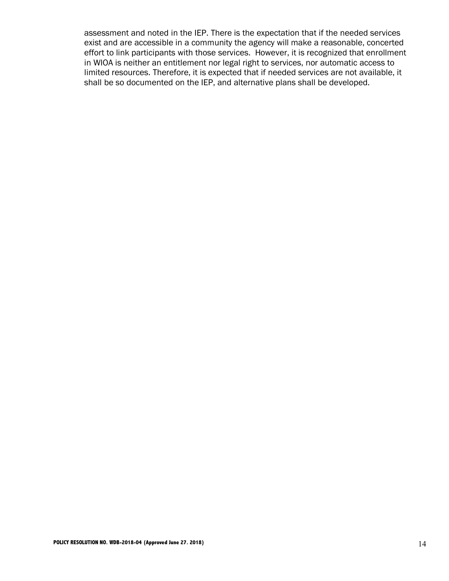assessment and noted in the IEP. There is the expectation that if the needed services exist and are accessible in a community the agency will make a reasonable, concerted effort to link participants with those services. However, it is recognized that enrollment in WIOA is neither an entitlement nor legal right to services, nor automatic access to limited resources. Therefore, it is expected that if needed services are not available, it shall be so documented on the IEP, and alternative plans shall be developed.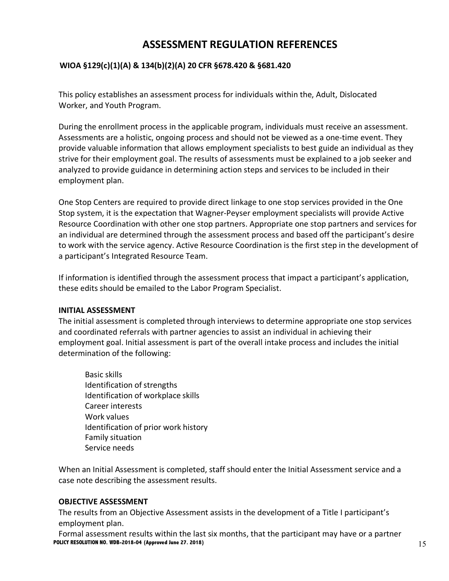# **ASSESSMENT REGULATION REFERENCES**

# **WIOA §129(c)(1)(A) & 134(b)(2)(A) 20 CFR §678.420 & §681.420**

This policy establishes an assessment process for individuals within the, Adult, Dislocated Worker, and Youth Program.

During the enrollment process in the applicable program, individuals must receive an assessment. Assessments are a holistic, ongoing process and should not be viewed as a one-time event. They provide valuable information that allows employment specialists to best guide an individual as they strive for their employment goal. The results of assessments must be explained to a job seeker and analyzed to provide guidance in determining action steps and services to be included in their employment plan.

One Stop Centers are required to provide direct linkage to one stop services provided in the One Stop system, it is the expectation that Wagner-Peyser employment specialists will provide Active Resource Coordination with other one stop partners. Appropriate one stop partners and services for an individual are determined through the assessment process and based off the participant's desire to work with the service agency. Active Resource Coordination is the first step in the development of a participant's Integrated Resource Team.

If information is identified through the assessment process that impact a participant's application, these edits should be emailed to the Labor Program Specialist.

### **INITIAL ASSESSMENT**

The initial assessment is completed through interviews to determine appropriate one stop services and coordinated referrals with partner agencies to assist an individual in achieving their employment goal. Initial assessment is part of the overall intake process and includes the initial determination of the following:

 Basic skills Identification of strengths Identification of workplace skills Career interests Work values Identification of prior work history Family situation Service needs

When an Initial Assessment is completed, staff should enter the Initial Assessment service and a case note describing the assessment results.

### **OBJECTIVE ASSESSMENT**

The results from an Objective Assessment assists in the development of a Title I participant's employment plan.

**POLICY RESOLUTION NO. WDB-2018-04 (Approved June 27. 2018)** 15 Formal assessment results within the last six months, that the participant may have or a partner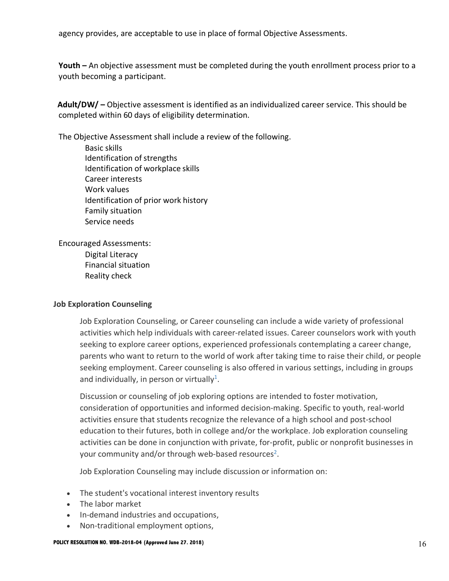agency provides, are acceptable to use in place of formal Objective Assessments.

**Youth –** An objective assessment must be completed during the youth enrollment process prior to a youth becoming a participant.

**Adult/DW/ –** Objective assessment is identified as an individualized career service. This should be completed within 60 days of eligibility determination.

The Objective Assessment shall include a review of the following.

 Basic skills Identification of strengths Identification of workplace skills Career interests Work values Identification of prior work history Family situation Service needs

Encouraged Assessments:

 Digital Literacy Financial situation Reality check

# **Job Exploration Counseling**

Job Exploration Counseling, or Career counseling can include a wide variety of professional activities which help individuals with career-related issues. Career counselors work with youth seeking to explore career options, experienced professionals contemplating a career change, parents who want to return to the world of work after taking time to raise their child, or people seeking employment. Career counseling is also offered in various settings, including in groups and individually, in person or virtually<sup>1</sup>.

Discussion or counseling of job exploring options are intended to foster motivation, consideration of opportunities and informed decision-making. Specific to youth, real-world activities ensure that students recognize the relevance of a high school and post-school education to their futures, both in college and/or the workplace. Job exploration counseling activities can be done in conjunction with private, for-profit, public or nonprofit businesses in your community and/or through web-based resources<sup>2</sup>.

Job Exploration Counseling may include discussion or information on:

- The student's vocational interest inventory results
- The labor market
- In-demand industries and occupations,
- Non-traditional employment options,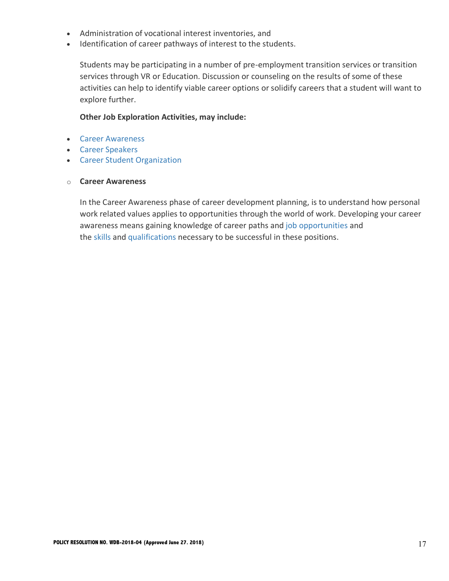- Administration of vocational interest inventories, and
- Identification of career pathways of interest to the students.

Students may be participating in a number of pre-employment transition services or transition services through VR or Education. Discussion or counseling on the results of some of these activities can help to identify viable career options or solidify careers that a student will want to explore further.

### **Other Job Exploration Activities, may include:**

- Career Awareness
- Career Speakers
- Career Student Organization
- o **Career Awareness**

In the Career Awareness phase of career development planning, is to understand how personal work related values applies to opportunities through the world of work. Developing your career awareness means gaining knowledge of career paths and job opportunities and the skills and qualifications necessary to be successful in these positions.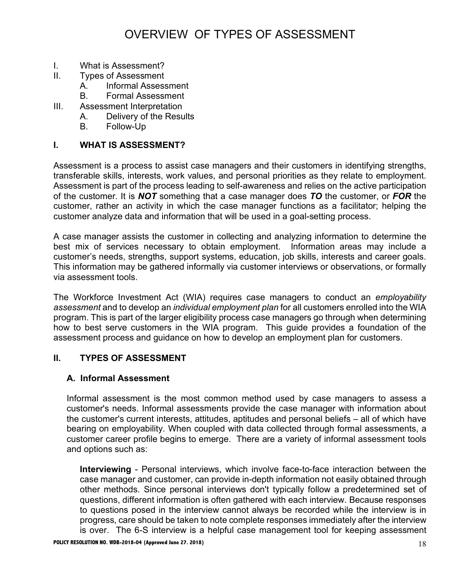# OVERVIEW OF TYPES OF ASSESSMENT

- I. What is Assessment?
- II. Types of Assessment
	- A. Informal Assessment
	- B. Formal Assessment
- III. Assessment Interpretation
	- A. Delivery of the Results
		- B. Follow-Up

### **I. WHAT IS ASSESSMENT?**

Assessment is a process to assist case managers and their customers in identifying strengths, transferable skills, interests, work values, and personal priorities as they relate to employment. Assessment is part of the process leading to self-awareness and relies on the active participation of the customer. It is *NOT* something that a case manager does *TO* the customer, or *FOR* the customer, rather an activity in which the case manager functions as a facilitator; helping the customer analyze data and information that will be used in a goal-setting process.

A case manager assists the customer in collecting and analyzing information to determine the best mix of services necessary to obtain employment. Information areas may include a customer's needs, strengths, support systems, education, job skills, interests and career goals. This information may be gathered informally via customer interviews or observations, or formally via assessment tools.

The Workforce Investment Act (WIA) requires case managers to conduct an *employability assessment* and to develop an *individual employment plan* for all customers enrolled into the WIA program. This is part of the larger eligibility process case managers go through when determining how to best serve customers in the WIA program. This guide provides a foundation of the assessment process and guidance on how to develop an employment plan for customers.

### **II. TYPES OF ASSESSMENT**

# **A. Informal Assessment**

Informal assessment is the most common method used by case managers to assess a customer's needs. Informal assessments provide the case manager with information about the customer's current interests, attitudes, aptitudes and personal beliefs – all of which have bearing on employability. When coupled with data collected through formal assessments, a customer career profile begins to emerge. There are a variety of informal assessment tools and options such as:

**Interviewing** - Personal interviews, which involve face-to-face interaction between the case manager and customer, can provide in-depth information not easily obtained through other methods. Since personal interviews don't typically follow a predetermined set of questions, different information is often gathered with each interview. Because responses to questions posed in the interview cannot always be recorded while the interview is in progress, care should be taken to note complete responses immediately after the interview is over. The 6-S interview is a helpful case management tool for keeping assessment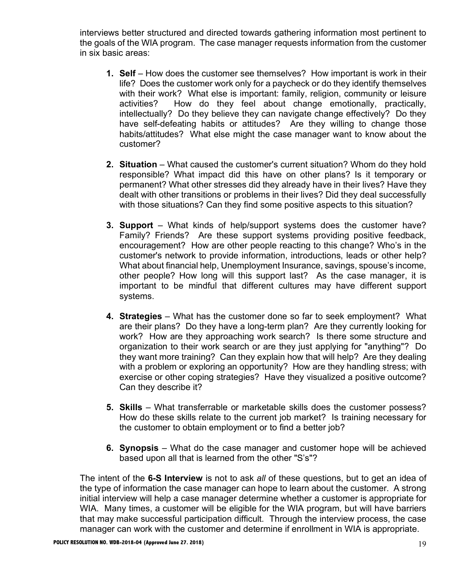interviews better structured and directed towards gathering information most pertinent to the goals of the WIA program. The case manager requests information from the customer in six basic areas:

- **1. Self** How does the customer see themselves? How important is work in their life? Does the customer work only for a paycheck or do they identify themselves with their work? What else is important: family, religion, community or leisure activities? How do they feel about change emotionally, practically, intellectually? Do they believe they can navigate change effectively? Do they have self-defeating habits or attitudes? Are they willing to change those habits/attitudes? What else might the case manager want to know about the customer?
- **2. Situation** What caused the customer's current situation? Whom do they hold responsible? What impact did this have on other plans? Is it temporary or permanent? What other stresses did they already have in their lives? Have they dealt with other transitions or problems in their lives? Did they deal successfully with those situations? Can they find some positive aspects to this situation?
- **3. Support**  What kinds of help/support systems does the customer have? Family? Friends? Are these support systems providing positive feedback, encouragement? How are other people reacting to this change? Who's in the customer's network to provide information, introductions, leads or other help? What about financial help, Unemployment Insurance, savings, spouse's income, other people? How long will this support last? As the case manager, it is important to be mindful that different cultures may have different support systems.
- **4. Strategies** What has the customer done so far to seek employment? What are their plans? Do they have a long-term plan? Are they currently looking for work? How are they approaching work search? Is there some structure and organization to their work search or are they just applying for "anything"? Do they want more training? Can they explain how that will help? Are they dealing with a problem or exploring an opportunity? How are they handling stress; with exercise or other coping strategies? Have they visualized a positive outcome? Can they describe it?
- **5. Skills** What transferrable or marketable skills does the customer possess? How do these skills relate to the current job market? Is training necessary for the customer to obtain employment or to find a better job?
- **6. Synopsis** What do the case manager and customer hope will be achieved based upon all that is learned from the other "S's"?

The intent of the **6-S Interview** is not to ask *all* of these questions, but to get an idea of the type of information the case manager can hope to learn about the customer. A strong initial interview will help a case manager determine whether a customer is appropriate for WIA. Many times, a customer will be eligible for the WIA program, but will have barriers that may make successful participation difficult. Through the interview process, the case manager can work with the customer and determine if enrollment in WIA is appropriate.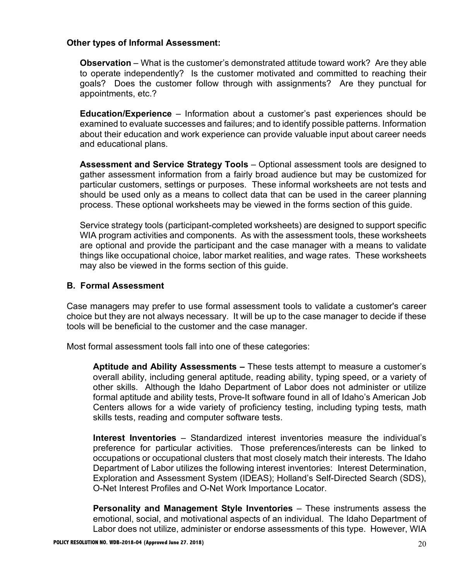### **Other types of Informal Assessment:**

**Observation** – What is the customer's demonstrated attitude toward work? Are they able to operate independently? Is the customer motivated and committed to reaching their goals? Does the customer follow through with assignments? Are they punctual for appointments, etc.?

**Education/Experience** – Information about a customer's past experiences should be examined to evaluate successes and failures; and to identify possible patterns. Information about their education and work experience can provide valuable input about career needs and educational plans.

**Assessment and Service Strategy Tools** – Optional assessment tools are designed to gather assessment information from a fairly broad audience but may be customized for particular customers, settings or purposes. These informal worksheets are not tests and should be used only as a means to collect data that can be used in the career planning process. These optional worksheets may be viewed in the forms section of this guide.

Service strategy tools (participant-completed worksheets) are designed to support specific WIA program activities and components. As with the assessment tools, these worksheets are optional and provide the participant and the case manager with a means to validate things like occupational choice, labor market realities, and wage rates. These worksheets may also be viewed in the forms section of this guide.

# **B. Formal Assessment**

Case managers may prefer to use formal assessment tools to validate a customer's career choice but they are not always necessary. It will be up to the case manager to decide if these tools will be beneficial to the customer and the case manager.

Most formal assessment tools fall into one of these categories:

**Aptitude and Ability Assessments –** These tests attempt to measure a customer's overall ability, including general aptitude, reading ability, typing speed, or a variety of other skills. Although the Idaho Department of Labor does not administer or utilize formal aptitude and ability tests, Prove-It software found in all of Idaho's American Job Centers allows for a wide variety of proficiency testing, including typing tests, math skills tests, reading and computer software tests.

**Interest Inventories** – Standardized interest inventories measure the individual's preference for particular activities. Those preferences/interests can be linked to occupations or occupational clusters that most closely match their interests. The Idaho Department of Labor utilizes the following interest inventories: Interest Determination, Exploration and Assessment System (IDEAS); Holland's Self-Directed Search (SDS), O-Net Interest Profiles and O-Net Work Importance Locator.

**Personality and Management Style Inventories** – These instruments assess the emotional, social, and motivational aspects of an individual. The Idaho Department of Labor does not utilize, administer or endorse assessments of this type. However, WIA